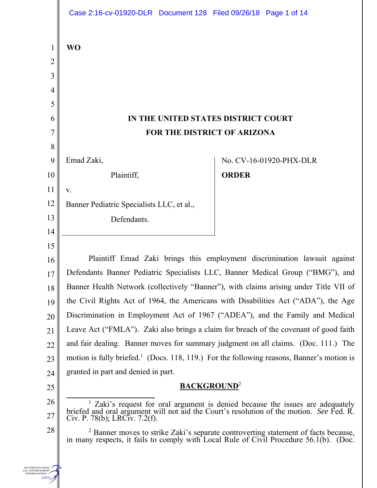|                                                  | Case 2:16-cv-01920-DLR  Document 128  Filed 09/26/18  Page 1 of 14                                                                                                                                                         |                         |
|--------------------------------------------------|----------------------------------------------------------------------------------------------------------------------------------------------------------------------------------------------------------------------------|-------------------------|
| $\mathbf{1}$                                     | <b>WO</b>                                                                                                                                                                                                                  |                         |
| $\overline{2}$                                   |                                                                                                                                                                                                                            |                         |
| 3                                                |                                                                                                                                                                                                                            |                         |
| 4                                                |                                                                                                                                                                                                                            |                         |
| 5                                                |                                                                                                                                                                                                                            |                         |
| 6                                                | IN THE UNITED STATES DISTRICT COURT                                                                                                                                                                                        |                         |
| 7                                                | FOR THE DISTRICT OF ARIZONA                                                                                                                                                                                                |                         |
| 8                                                |                                                                                                                                                                                                                            |                         |
| 9                                                | Emad Zaki,                                                                                                                                                                                                                 | No. CV-16-01920-PHX-DLR |
| 10                                               | Plaintiff,                                                                                                                                                                                                                 | <b>ORDER</b>            |
| 11                                               | V.                                                                                                                                                                                                                         |                         |
| 12                                               | Banner Pediatric Specialists LLC, et al.,                                                                                                                                                                                  |                         |
| 13                                               | Defendants.                                                                                                                                                                                                                |                         |
| 14                                               |                                                                                                                                                                                                                            |                         |
| 15                                               |                                                                                                                                                                                                                            |                         |
| 16                                               | Plaintiff Emad Zaki brings this employment discrimination lawsuit against                                                                                                                                                  |                         |
| 17                                               | Defendants Banner Pediatric Specialists LLC, Banner Medical Group ("BMG"), and                                                                                                                                             |                         |
| 18                                               | Banner Health Network (collectively "Banner"), with claims arising under Title VII of<br>the Civil Rights Act of 1964, the Americans with Disabilities Act ("ADA"), the Age                                                |                         |
| 19                                               | Discrimination in Employment Act of 1967 ("ADEA"), and the Family and Medical                                                                                                                                              |                         |
| 20                                               | Leave Act ("FMLA"). Zaki also brings a claim for breach of the covenant of good faith                                                                                                                                      |                         |
| 21<br>22                                         | and fair dealing. Banner moves for summary judgment on all claims. (Doc. 111.) The                                                                                                                                         |                         |
| 23                                               | motion is fully briefed. <sup>1</sup> (Docs. 118, 119.) For the following reasons, Banner's motion is                                                                                                                      |                         |
| 24                                               | granted in part and denied in part.                                                                                                                                                                                        |                         |
| 25                                               | <b>BACKGROUND</b> <sup>2</sup>                                                                                                                                                                                             |                         |
| 26                                               |                                                                                                                                                                                                                            |                         |
| 27                                               | <sup>1</sup> Zaki's request for oral argument is denied because the issues are adequately briefed and oral argument will not aid the Court's resolution of the motion. <i>See</i> Fed. R.<br>Civ. P. 78(b); LRCiv. 7.2(f). |                         |
| 28                                               | <sup>2</sup> Banner moves to strike Zaki's separate controverting statement of facts because, in many respects, it fails to comply with Local Rule of Civil Procedure 56.1(b). (Doc.                                       |                         |
| <b>NUTHENTICATED</b><br><b>FORMATION</b><br>GPO, |                                                                                                                                                                                                                            |                         |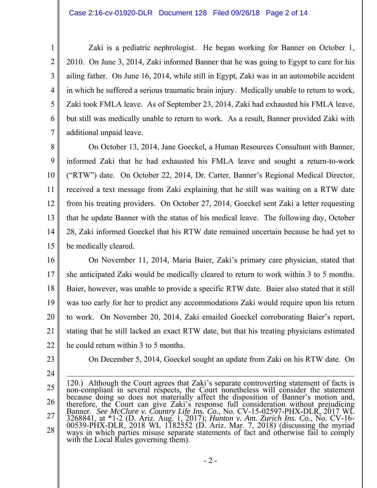Zaki is a pediatric nephrologist. He began working for Banner on October 1, 2010. On June 3, 2014, Zaki informed Banner that he was going to Egypt to care for his ailing father. On June 16, 2014, while still in Egypt, Zaki was in an automobile accident in which he suffered a serious traumatic brain injury. Medically unable to return to work, Zaki took FMLA leave. As of September 23, 2014, Zaki had exhausted his FMLA leave, but still was medically unable to return to work. As a result, Banner provided Zaki with additional unpaid leave.

8 9 10 11 12 13 14 15 On October 13, 2014, Jane Goeckel, a Human Resources Consultant with Banner, informed Zaki that he had exhausted his FMLA leave and sought a return-to-work ("RTW") date. On October 22, 2014, Dr. Carter, Banner's Regional Medical Director, received a text message from Zaki explaining that he still was waiting on a RTW date from his treating providers. On October 27, 2014, Goeckel sent Zaki a letter requesting that he update Banner with the status of his medical leave. The following day, October 28, Zaki informed Goeckel that his RTW date remained uncertain because he had yet to be medically cleared.

16

1

2

3

4

5

6

7

17 18 19 20 21 22 On November 11, 2014, Maria Baier, Zaki's primary care physician, stated that she anticipated Zaki would be medically cleared to return to work within 3 to 5 months. Baier, however, was unable to provide a specific RTW date. Baier also stated that it still was too early for her to predict any accommodations Zaki would require upon his return to work. On November 20, 2014, Zaki emailed Goeckel corroborating Baier's report, stating that he still lacked an exact RTW date, but that his treating physicians estimated he could return within 3 to 5 months.

- 23
- 24

On December 5, 2014, Goeckel sought an update from Zaki on his RTW date. On

<sup>25</sup>  26 27 28 120.) Although the Court agrees that Zaki's separate controverting statement of facts is non-compliant in several respects, the Court nonetheless will consider the statement because doing so does not materially affect the disposition of Banner's motion and, therefore, the Court can give Zaki's response full consideration without prejudicing Banner. *See McClure v. Country Life Ins. Co.*, No. CV-15-02597-PHX-DLR, 2017 WL 3268841, at \*1-2 (D. Ariz. Aug. 1, 2017); *Hunton v. Am. Zurich Ins. Co.*, No. CV-16- 00539-PHX-DLR, 2018 WL 1182552 (D. Ariz. Mar. 7, 2018) (discussing the myriad ways in which parties misuse separate statements of fact and otherwise fail to comply with the Local Rules governing them).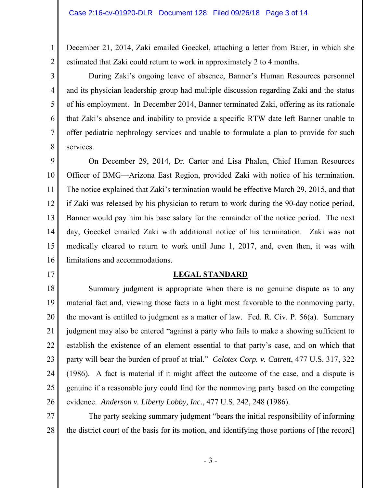December 21, 2014, Zaki emailed Goeckel, attaching a letter from Baier, in which she estimated that Zaki could return to work in approximately 2 to 4 months.

 During Zaki's ongoing leave of absence, Banner's Human Resources personnel and its physician leadership group had multiple discussion regarding Zaki and the status of his employment. In December 2014, Banner terminated Zaki, offering as its rationale that Zaki's absence and inability to provide a specific RTW date left Banner unable to offer pediatric nephrology services and unable to formulate a plan to provide for such services.

9 10 11 12 13 14 15 16 On December 29, 2014, Dr. Carter and Lisa Phalen, Chief Human Resources Officer of BMG—Arizona East Region, provided Zaki with notice of his termination. The notice explained that Zaki's termination would be effective March 29, 2015, and that if Zaki was released by his physician to return to work during the 90-day notice period, Banner would pay him his base salary for the remainder of the notice period. The next day, Goeckel emailed Zaki with additional notice of his termination. Zaki was not medically cleared to return to work until June 1, 2017, and, even then, it was with limitations and accommodations.

- 17
	-

1

2

3

4

5

6

7

8

18

# **LEGAL STANDARD**

19 20 21 22 23 24 25 26 Summary judgment is appropriate when there is no genuine dispute as to any material fact and, viewing those facts in a light most favorable to the nonmoving party, the movant is entitled to judgment as a matter of law. Fed. R. Civ. P. 56(a). Summary judgment may also be entered "against a party who fails to make a showing sufficient to establish the existence of an element essential to that party's case, and on which that party will bear the burden of proof at trial." *Celotex Corp. v. Catrett*, 477 U.S. 317, 322 (1986). A fact is material if it might affect the outcome of the case, and a dispute is genuine if a reasonable jury could find for the nonmoving party based on the competing evidence. *Anderson v. Liberty Lobby, Inc.*, 477 U.S. 242, 248 (1986).

27 28 The party seeking summary judgment "bears the initial responsibility of informing the district court of the basis for its motion, and identifying those portions of [the record]

- 3 -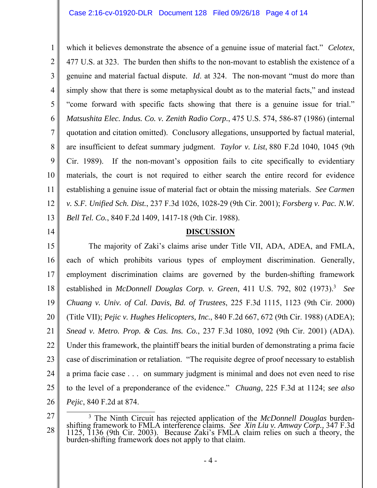7 which it believes demonstrate the absence of a genuine issue of material fact." *Celotex*, 477 U.S. at 323. The burden then shifts to the non-movant to establish the existence of a genuine and material factual dispute. *Id*. at 324. The non-movant "must do more than simply show that there is some metaphysical doubt as to the material facts," and instead "come forward with specific facts showing that there is a genuine issue for trial." *Matsushita Elec. Indus. Co. v. Zenith Radio Corp.*, 475 U.S. 574, 586-87 (1986) (internal quotation and citation omitted). Conclusory allegations, unsupported by factual material, are insufficient to defeat summary judgment. *Taylor v. List*, 880 F.2d 1040, 1045 (9th Cir. 1989). If the non-movant's opposition fails to cite specifically to evidentiary materials, the court is not required to either search the entire record for evidence establishing a genuine issue of material fact or obtain the missing materials. *See Carmen v. S.F. Unified Sch. Dist.*, 237 F.3d 1026, 1028-29 (9th Cir. 2001); *Forsberg v. Pac. N.W. Bell Tel. Co.*, 840 F.2d 1409, 1417-18 (9th Cir. 1988).

## **DISCUSSION**

15 16 17 18 19 20 21 22 23 24 25 26 The majority of Zaki's claims arise under Title VII, ADA, ADEA, and FMLA, each of which prohibits various types of employment discrimination. Generally, employment discrimination claims are governed by the burden-shifting framework established in *McDonnell Douglas Corp. v. Green*, 411 U.S. 792, 802 (1973).<sup>3</sup> See *Chuang v. Univ. of Cal. Davis, Bd. of Trustees*, 225 F.3d 1115, 1123 (9th Cir. 2000) (Title VII); *Pejic v. Hughes Helicopters, Inc.*, 840 F.2d 667, 672 (9th Cir. 1988) (ADEA); *Snead v. Metro. Prop. & Cas. Ins. Co.*, 237 F.3d 1080, 1092 (9th Cir. 2001) (ADA). Under this framework, the plaintiff bears the initial burden of demonstrating a prima facie case of discrimination or retaliation. "The requisite degree of proof necessary to establish a prima facie case . . . on summary judgment is minimal and does not even need to rise to the level of a preponderance of the evidence." *Chuang*, 225 F.3d at 1124; *see also Pejic*, 840 F.2d at 874.

27

1

2

3

4

5

6

8

9

10

11

12

13

14

<sup>28</sup>  <sup>3</sup> The Ninth Circuit has rejected application of the *McDonnell Douglas* burdenshifting framework to FMLA interference claims. *See Xin Liu v. Amway Corp.,* 347 F.3d <sup>1125</sup>*,* <sup>1136</sup> (9th Cir. 2003). Because Zaki's FMLA claim relies on such a theory, the burden-shifting framework does not apply to that claim.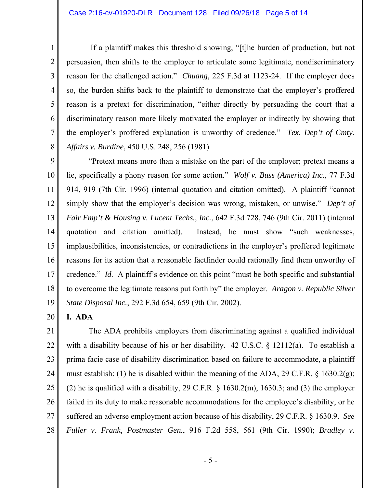If a plaintiff makes this threshold showing, "[t]he burden of production, but not persuasion, then shifts to the employer to articulate some legitimate, nondiscriminatory reason for the challenged action." *Chuang*, 225 F.3d at 1123-24. If the employer does so, the burden shifts back to the plaintiff to demonstrate that the employer's proffered reason is a pretext for discrimination, "either directly by persuading the court that a discriminatory reason more likely motivated the employer or indirectly by showing that the employer's proffered explanation is unworthy of credence." *Tex. Dep't of Cmty. Affairs v. Burdine*, 450 U.S. 248, 256 (1981).

9 10 11 12 13 14 15 16 17 18 19 "Pretext means more than a mistake on the part of the employer; pretext means a lie, specifically a phony reason for some action." *Wolf v. Buss (America) Inc.*, 77 F.3d 914, 919 (7th Cir. 1996) (internal quotation and citation omitted). A plaintiff "cannot simply show that the employer's decision was wrong, mistaken, or unwise." *Dep't of Fair Emp't & Housing v. Lucent Techs., Inc.*, 642 F.3d 728, 746 (9th Cir. 2011) (internal quotation and citation omitted). Instead, he must show "such weaknesses, implausibilities, inconsistencies, or contradictions in the employer's proffered legitimate reasons for its action that a reasonable factfinder could rationally find them unworthy of credence." *Id.* A plaintiff's evidence on this point "must be both specific and substantial to overcome the legitimate reasons put forth by" the employer. *Aragon v. Republic Silver State Disposal Inc.*, 292 F.3d 654, 659 (9th Cir. 2002).

20 **I. ADA** 

1

2

3

4

5

6

7

8

21 22 23 24 25 26 27 28 The ADA prohibits employers from discriminating against a qualified individual with a disability because of his or her disability. 42 U.S.C. § 12112(a). To establish a prima facie case of disability discrimination based on failure to accommodate, a plaintiff must establish: (1) he is disabled within the meaning of the ADA, 29 C.F.R.  $\S$  1630.2(g); (2) he is qualified with a disability, 29 C.F.R.  $\S$  1630.2(m), 1630.3; and (3) the employer failed in its duty to make reasonable accommodations for the employee's disability, or he suffered an adverse employment action because of his disability, 29 C.F.R. § 1630.9. *See Fuller v. Frank, Postmaster Gen.*, 916 F.2d 558, 561 (9th Cir. 1990); *Bradley v.* 

- 5 -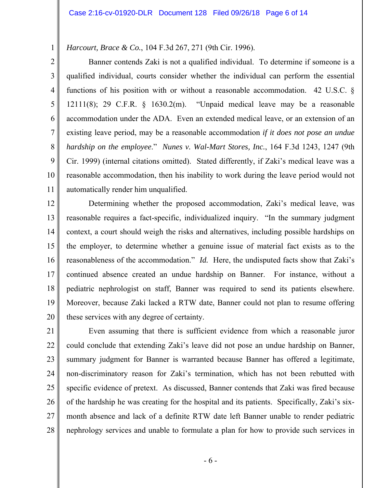*Harcourt, Brace & Co.*, 104 F.3d 267, 271 (9th Cir. 1996).

1

2 3 4 5 6 7 8 9 10 11 Banner contends Zaki is not a qualified individual. To determine if someone is a qualified individual, courts consider whether the individual can perform the essential functions of his position with or without a reasonable accommodation. 42 U.S.C. § 12111(8); 29 C.F.R. § 1630.2(m). "Unpaid medical leave may be a reasonable accommodation under the ADA. Even an extended medical leave, or an extension of an existing leave period, may be a reasonable accommodation *if it does not pose an undue hardship on the employee*." *Nunes v. Wal-Mart Stores, Inc.*, 164 F.3d 1243, 1247 (9th Cir. 1999) (internal citations omitted). Stated differently, if Zaki's medical leave was a reasonable accommodation, then his inability to work during the leave period would not automatically render him unqualified.

12 13 14 15 16 17 18 19 20 Determining whether the proposed accommodation, Zaki's medical leave, was reasonable requires a fact-specific, individualized inquiry. "In the summary judgment context, a court should weigh the risks and alternatives, including possible hardships on the employer, to determine whether a genuine issue of material fact exists as to the reasonableness of the accommodation." *Id.* Here, the undisputed facts show that Zaki's continued absence created an undue hardship on Banner. For instance, without a pediatric nephrologist on staff, Banner was required to send its patients elsewhere. Moreover, because Zaki lacked a RTW date, Banner could not plan to resume offering these services with any degree of certainty.

21 22 23 24 25 26 27 28 Even assuming that there is sufficient evidence from which a reasonable juror could conclude that extending Zaki's leave did not pose an undue hardship on Banner, summary judgment for Banner is warranted because Banner has offered a legitimate, non-discriminatory reason for Zaki's termination, which has not been rebutted with specific evidence of pretext. As discussed, Banner contends that Zaki was fired because of the hardship he was creating for the hospital and its patients. Specifically, Zaki's sixmonth absence and lack of a definite RTW date left Banner unable to render pediatric nephrology services and unable to formulate a plan for how to provide such services in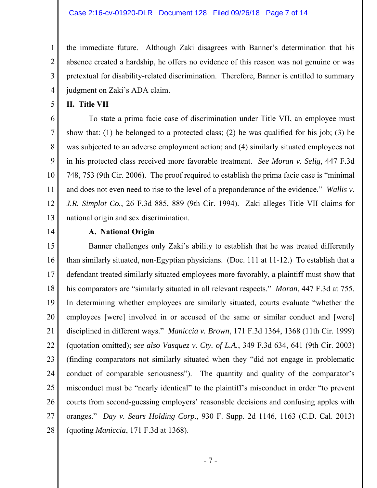the immediate future. Although Zaki disagrees with Banner's determination that his absence created a hardship, he offers no evidence of this reason was not genuine or was pretextual for disability-related discrimination. Therefore, Banner is entitled to summary judgment on Zaki's ADA claim.

**II. Title VII** 

 To state a prima facie case of discrimination under Title VII, an employee must show that: (1) he belonged to a protected class; (2) he was qualified for his job; (3) he was subjected to an adverse employment action; and (4) similarly situated employees not in his protected class received more favorable treatment. *See Moran v. Selig*, 447 F.3d 748, 753 (9th Cir. 2006). The proof required to establish the prima facie case is "minimal and does not even need to rise to the level of a preponderance of the evidence." *Wallis v. J.R. Simplot Co.*, 26 F.3d 885, 889 (9th Cir. 1994). Zaki alleges Title VII claims for national origin and sex discrimination.

14

1

2

3

4

5

6

7

8

9

10

11

12

13

## **A. National Origin**

15 16 17 18 19 20 21 22 23 24 25 26 27 28 Banner challenges only Zaki's ability to establish that he was treated differently than similarly situated, non-Egyptian physicians. (Doc. 111 at 11-12.) To establish that a defendant treated similarly situated employees more favorably, a plaintiff must show that his comparators are "similarly situated in all relevant respects." *Moran*, 447 F.3d at 755. In determining whether employees are similarly situated, courts evaluate "whether the employees [were] involved in or accused of the same or similar conduct and [were] disciplined in different ways." *Maniccia v. Brown*, 171 F.3d 1364, 1368 (11th Cir. 1999) (quotation omitted); *see also Vasquez v. Cty. of L.A.*, 349 F.3d 634, 641 (9th Cir. 2003) (finding comparators not similarly situated when they "did not engage in problematic conduct of comparable seriousness"). The quantity and quality of the comparator's misconduct must be "nearly identical" to the plaintiff's misconduct in order "to prevent courts from second-guessing employers' reasonable decisions and confusing apples with oranges." *Day v. Sears Holding Corp.*, 930 F. Supp. 2d 1146, 1163 (C.D. Cal. 2013) (quoting *Maniccia*, 171 F.3d at 1368).

- 7 -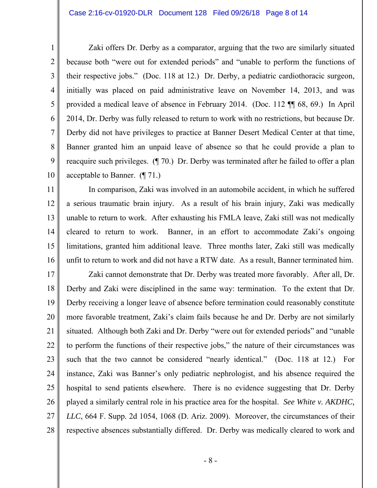1

2

3

4

5

6

7

8

9

10

 Zaki offers Dr. Derby as a comparator, arguing that the two are similarly situated because both "were out for extended periods" and "unable to perform the functions of their respective jobs." (Doc. 118 at 12.) Dr. Derby, a pediatric cardiothoracic surgeon, initially was placed on paid administrative leave on November 14, 2013, and was provided a medical leave of absence in February 2014. (Doc. 112 ¶¶ 68, 69.) In April 2014, Dr. Derby was fully released to return to work with no restrictions, but because Dr. Derby did not have privileges to practice at Banner Desert Medical Center at that time, Banner granted him an unpaid leave of absence so that he could provide a plan to reacquire such privileges. (¶ 70.) Dr. Derby was terminated after he failed to offer a plan acceptable to Banner. (¶ 71.)

11 12 13 14 15 16 In comparison, Zaki was involved in an automobile accident, in which he suffered a serious traumatic brain injury. As a result of his brain injury, Zaki was medically unable to return to work. After exhausting his FMLA leave, Zaki still was not medically cleared to return to work. Banner, in an effort to accommodate Zaki's ongoing limitations, granted him additional leave. Three months later, Zaki still was medically unfit to return to work and did not have a RTW date. As a result, Banner terminated him.

17 18 19 20 21 22 23 24 25 26 27 28 Zaki cannot demonstrate that Dr. Derby was treated more favorably. After all, Dr. Derby and Zaki were disciplined in the same way: termination. To the extent that Dr. Derby receiving a longer leave of absence before termination could reasonably constitute more favorable treatment, Zaki's claim fails because he and Dr. Derby are not similarly situated. Although both Zaki and Dr. Derby "were out for extended periods" and "unable to perform the functions of their respective jobs," the nature of their circumstances was such that the two cannot be considered "nearly identical." (Doc. 118 at 12.) For instance, Zaki was Banner's only pediatric nephrologist, and his absence required the hospital to send patients elsewhere. There is no evidence suggesting that Dr. Derby played a similarly central role in his practice area for the hospital. *See White v. AKDHC, LLC*, 664 F. Supp. 2d 1054, 1068 (D. Ariz. 2009). Moreover, the circumstances of their respective absences substantially differed. Dr. Derby was medically cleared to work and

- 8 -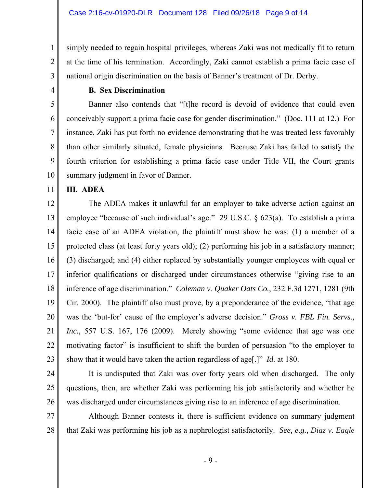simply needed to regain hospital privileges, whereas Zaki was not medically fit to return at the time of his termination. Accordingly, Zaki cannot establish a prima facie case of national origin discrimination on the basis of Banner's treatment of Dr. Derby.

3 4 5

6

7

8

9

10

1

2

### **B. Sex Discrimination**

Banner also contends that "[t]he record is devoid of evidence that could even conceivably support a prima facie case for gender discrimination." (Doc. 111 at 12.) For instance, Zaki has put forth no evidence demonstrating that he was treated less favorably than other similarly situated, female physicians. Because Zaki has failed to satisfy the fourth criterion for establishing a prima facie case under Title VII, the Court grants summary judgment in favor of Banner.

11 **III. ADEA** 

12

13 14 15 16 17 18 19 20 21 22 23 The ADEA makes it unlawful for an employer to take adverse action against an employee "because of such individual's age." 29 U.S.C. § 623(a). To establish a prima facie case of an ADEA violation, the plaintiff must show he was: (1) a member of a protected class (at least forty years old); (2) performing his job in a satisfactory manner; (3) discharged; and (4) either replaced by substantially younger employees with equal or inferior qualifications or discharged under circumstances otherwise "giving rise to an inference of age discrimination." *Coleman v. Quaker Oats Co.*, 232 F.3d 1271, 1281 (9th Cir. 2000). The plaintiff also must prove, by a preponderance of the evidence, "that age was the 'but-for' cause of the employer's adverse decision." *Gross v. FBL Fin. Servs., Inc.*, 557 U.S. 167, 176 (2009). Merely showing "some evidence that age was one motivating factor" is insufficient to shift the burden of persuasion "to the employer to show that it would have taken the action regardless of age[.]" *Id.* at 180.

24

25

26

 It is undisputed that Zaki was over forty years old when discharged. The only questions, then, are whether Zaki was performing his job satisfactorily and whether he was discharged under circumstances giving rise to an inference of age discrimination.

27 28 Although Banner contests it, there is sufficient evidence on summary judgment that Zaki was performing his job as a nephrologist satisfactorily. *See, e.g.*, *Diaz v. Eagle*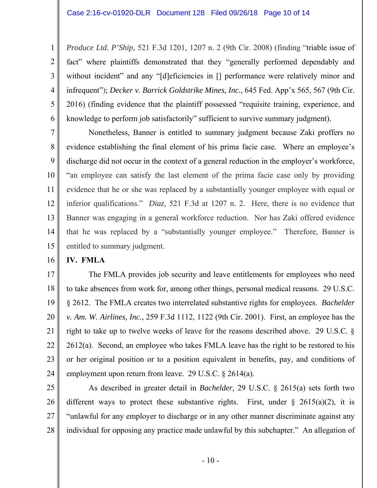1 2 3 4 5 6 *Produce Ltd. P'Ship*, 521 F.3d 1201, 1207 n. 2 (9th Cir. 2008) (finding "triable issue of fact" where plaintiffs demonstrated that they "generally performed dependably and without incident" and any "[d]eficiencies in [] performance were relatively minor and infrequent"); *Decker v. Barrick Goldstrike Mines, Inc.*, 645 Fed. App'x 565, 567 (9th Cir. 2016) (finding evidence that the plaintiff possessed "requisite training, experience, and knowledge to perform job satisfactorily" sufficient to survive summary judgment).

7 8 9 10 11 12 13 14 15 Nonetheless, Banner is entitled to summary judgment because Zaki proffers no evidence establishing the final element of his prima facie case. Where an employee's discharge did not occur in the context of a general reduction in the employer's workforce, "an employee can satisfy the last element of the prima facie case only by providing evidence that he or she was replaced by a substantially younger employee with equal or inferior qualifications." *Diaz*, 521 F.3d at 1207 n. 2. Here, there is no evidence that Banner was engaging in a general workforce reduction. Nor has Zaki offered evidence that he was replaced by a "substantially younger employee." Therefore, Banner is entitled to summary judgment.

16 **IV. FMLA** 

17 18 19 20 21 22 23 24 The FMLA provides job security and leave entitlements for employees who need to take absences from work for, among other things, personal medical reasons. 29 U.S.C. § 2612. The FMLA creates two interrelated substantive rights for employees. *Bachelder v. Am. W. Airlines, Inc.*, 259 F.3d 1112, 1122 (9th Cir. 2001). First, an employee has the right to take up to twelve weeks of leave for the reasons described above. 29 U.S.C. § 2612(a). Second, an employee who takes FMLA leave has the right to be restored to his or her original position or to a position equivalent in benefits, pay, and conditions of employment upon return from leave. 29 U.S.C. § 2614(a).

25

26 27 28 As described in greater detail in *Bachelder,* 29 U.S.C. § 2615(a) sets forth two different ways to protect these substantive rights. First, under  $\S$  2615(a)(2), it is "unlawful for any employer to discharge or in any other manner discriminate against any individual for opposing any practice made unlawful by this subchapter." An allegation of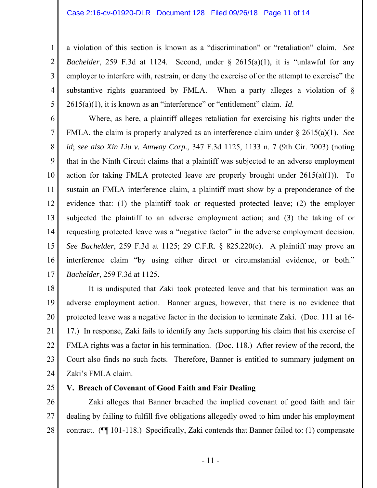a violation of this section is known as a "discrimination" or "retaliation" claim. *See Bachelder*, 259 F.3d at 1124. Second, under § 2615(a)(1), it is "unlawful for any employer to interfere with, restrain, or deny the exercise of or the attempt to exercise" the substantive rights guaranteed by FMLA. When a party alleges a violation of § 2615(a)(1), it is known as an "interference" or "entitlement" claim. *Id.*

6 7 8 9 10 11 12 13 14 15 16 17 Where, as here, a plaintiff alleges retaliation for exercising his rights under the FMLA, the claim is properly analyzed as an interference claim under § 2615(a)(1). *See id*; *see also Xin Liu v. Amway Corp.*, 347 F.3d 1125, 1133 n. 7 (9th Cir. 2003) (noting that in the Ninth Circuit claims that a plaintiff was subjected to an adverse employment action for taking FMLA protected leave are properly brought under  $2615(a)(1)$ . To sustain an FMLA interference claim, a plaintiff must show by a preponderance of the evidence that: (1) the plaintiff took or requested protected leave; (2) the employer subjected the plaintiff to an adverse employment action; and (3) the taking of or requesting protected leave was a "negative factor" in the adverse employment decision. *See Bachelder*, 259 F.3d at 1125; 29 C.F.R. § 825.220(c). A plaintiff may prove an interference claim "by using either direct or circumstantial evidence, or both." *Bachelder*, 259 F.3d at 1125.

18 19 20 21 22 23 24 It is undisputed that Zaki took protected leave and that his termination was an adverse employment action. Banner argues, however, that there is no evidence that protected leave was a negative factor in the decision to terminate Zaki. (Doc. 111 at 16- 17.) In response, Zaki fails to identify any facts supporting his claim that his exercise of FMLA rights was a factor in his termination. (Doc. 118.) After review of the record, the Court also finds no such facts. Therefore, Banner is entitled to summary judgment on Zaki's FMLA claim.

25

1

2

3

4

5

## **V. Breach of Covenant of Good Faith and Fair Dealing**

26 27 28 Zaki alleges that Banner breached the implied covenant of good faith and fair dealing by failing to fulfill five obligations allegedly owed to him under his employment contract. (¶¶ 101-118.) Specifically, Zaki contends that Banner failed to: (1) compensate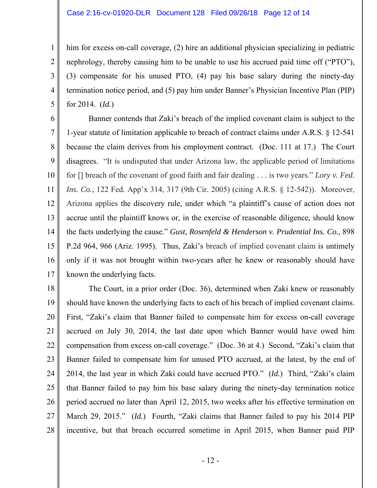1

2

3

4

5

him for excess on-call coverage, (2) hire an additional physician specializing in pediatric nephrology, thereby causing him to be unable to use his accrued paid time off ("PTO"), (3) compensate for his unused PTO, (4) pay his base salary during the ninety-day termination notice period, and (5) pay him under Banner's Physician Incentive Plan (PIP) for 2014. (*Id.*)

6 7 8 9 10 11 12 13 14 15 16 17 Banner contends that Zaki's breach of the implied covenant claim is subject to the 1-year statute of limitation applicable to breach of contract claims under A.R.S. § 12-541 because the claim derives from his employment contract. (Doc. 111 at 17.) The Court disagrees. "It is undisputed that under Arizona law, the applicable period of limitations for [] breach of the covenant of good faith and fair dealing . . . is two years." *Lory v. Fed. Ins. Co.*, 122 Fed. App'x 314, 317 (9th Cir. 2005) (citing A.R.S. § 12-542)). Moreover, Arizona applies the discovery rule, under which "a plaintiff's cause of action does not accrue until the plaintiff knows or, in the exercise of reasonable diligence, should know the facts underlying the cause." *Gust, Rosenfeld & Henderson v. Prudential Ins. Co.*, 898 P.2d 964, 966 (Ariz. 1995). Thus, Zaki's breach of implied covenant claim is untimely only if it was not brought within two-years after he knew or reasonably should have known the underlying facts.

18 19 20 21 22 23 24 25 26 27 28 The Court, in a prior order (Doc. 36), determined when Zaki knew or reasonably should have known the underlying facts to each of his breach of implied covenant claims. First, "Zaki's claim that Banner failed to compensate him for excess on-call coverage accrued on July 30, 2014, the last date upon which Banner would have owed him compensation from excess on-call coverage." (Doc. 36 at 4.) Second, "Zaki's claim that Banner failed to compensate him for unused PTO accrued, at the latest, by the end of 2014, the last year in which Zaki could have accrued PTO." (*Id.*) Third, "Zaki's claim that Banner failed to pay him his base salary during the ninety-day termination notice period accrued no later than April 12, 2015, two weeks after his effective termination on March 29, 2015." (*Id.*) Fourth, "Zaki claims that Banner failed to pay his 2014 PIP incentive, but that breach occurred sometime in April 2015, when Banner paid PIP

- 12 -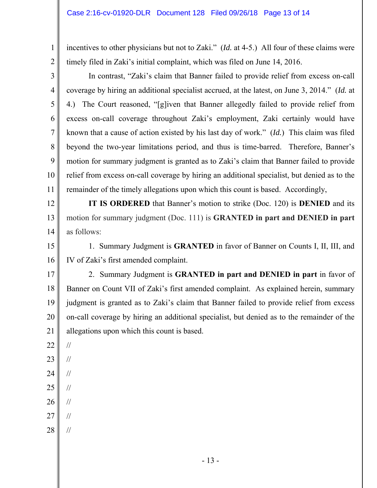incentives to other physicians but not to Zaki." (*Id.* at 4-5.) All four of these claims were timely filed in Zaki's initial complaint, which was filed on June 14, 2016.

 In contrast, "Zaki's claim that Banner failed to provide relief from excess on-call coverage by hiring an additional specialist accrued, at the latest, on June 3, 2014." (*Id.* at 4.) The Court reasoned, "[g]iven that Banner allegedly failed to provide relief from excess on-call coverage throughout Zaki's employment, Zaki certainly would have known that a cause of action existed by his last day of work." (*Id.*) This claim was filed beyond the two-year limitations period, and thus is time-barred. Therefore, Banner's motion for summary judgment is granted as to Zaki's claim that Banner failed to provide relief from excess on-call coverage by hiring an additional specialist, but denied as to the remainder of the timely allegations upon which this count is based. Accordingly,

12 13 14 **IT IS ORDERED** that Banner's motion to strike (Doc. 120) is **DENIED** and its motion for summary judgment (Doc. 111) is **GRANTED in part and DENIED in part** as follows:

15 16 1. Summary Judgment is **GRANTED** in favor of Banner on Counts I, II, III, and IV of Zaki's first amended complaint.

17 18 19 20 21 2. Summary Judgment is **GRANTED in part and DENIED in part** in favor of Banner on Count VII of Zaki's first amended complaint. As explained herein, summary judgment is granted as to Zaki's claim that Banner failed to provide relief from excess on-call coverage by hiring an additional specialist, but denied as to the remainder of the allegations upon which this count is based.

22

//

//

//

//

1

2

3

4

5

6

7

8

9

10

11

- 23
- 24
- 25 //
- 26 //
- 27
- 28 //